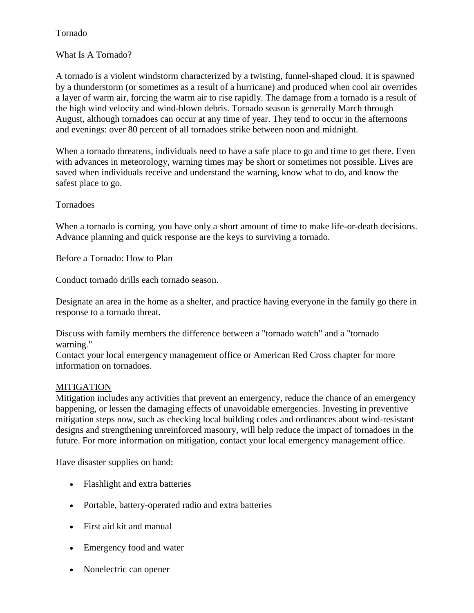# Tornado

What Is A Tornado?

A tornado is a violent windstorm characterized by a twisting, funnel-shaped cloud. It is spawned by a thunderstorm (or sometimes as a result of a hurricane) and produced when cool air overrides a layer of warm air, forcing the warm air to rise rapidly. The damage from a tornado is a result of the high wind velocity and wind-blown debris. Tornado season is generally March through August, although tornadoes can occur at any time of year. They tend to occur in the afternoons and evenings: over 80 percent of all tornadoes strike between noon and midnight.

When a tornado threatens, individuals need to have a safe place to go and time to get there. Even with advances in meteorology, warning times may be short or sometimes not possible. Lives are saved when individuals receive and understand the warning, know what to do, and know the safest place to go.

# Tornadoes

When a tornado is coming, you have only a short amount of time to make life-or-death decisions. Advance planning and quick response are the keys to surviving a tornado.

Before a Tornado: How to Plan

Conduct tornado drills each tornado season.

Designate an area in the home as a shelter, and practice having everyone in the family go there in response to a tornado threat.

Discuss with family members the difference between a "tornado watch" and a "tornado warning."

Contact your local emergency management office or American Red Cross chapter for more information on tornadoes.

# [MITIGATION](http://www.fema.gov/fima/)

Mitigation includes any activities that prevent an emergency, reduce the chance of an emergency happening, or lessen the damaging effects of unavoidable emergencies. Investing in preventive mitigation steps now, such as checking local building codes and ordinances about wind-resistant designs and strengthening unreinforced masonry, will help reduce the impact of tornadoes in the future. For more information on mitigation, contact your local emergency management office.

Have disaster supplies on hand:

- Flashlight and extra batteries
- Portable, battery-operated radio and extra batteries
- First aid kit and manual
- Emergency food and water
- Nonelectric can opener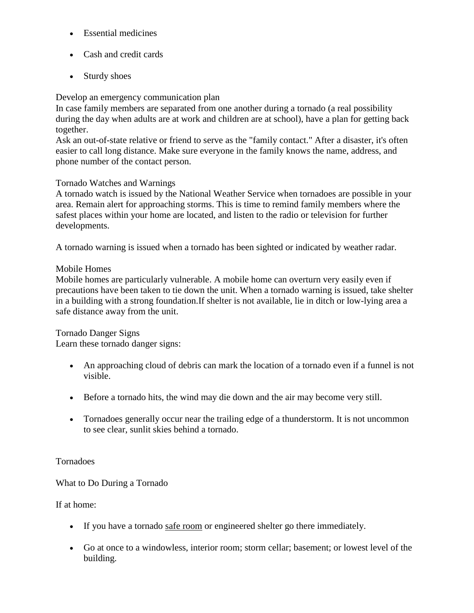- Essential medicines
- Cash and credit cards
- Sturdy shoes

Develop an emergency communication plan

In case family members are separated from one another during a tornado (a real possibility during the day when adults are at work and children are at school), have a plan for getting back together.

Ask an out-of-state relative or friend to serve as the "family contact." After a disaster, it's often easier to call long distance. Make sure everyone in the family knows the name, address, and phone number of the contact person.

### Tornado Watches and Warnings

A tornado watch is issued by the National Weather Service when tornadoes are possible in your area. Remain alert for approaching storms. This is time to remind family members where the safest places within your home are located, and listen to the radio or television for further developments.

A tornado warning is issued when a tornado has been sighted or indicated by weather radar.

### Mobile Homes

Mobile homes are particularly vulnerable. A mobile home can overturn very easily even if precautions have been taken to tie down the unit. When a tornado warning is issued, take shelter in a building with a strong foundation.If shelter is not available, lie in ditch or low-lying area a safe distance away from the unit.

#### Tornado Danger Signs

Learn these tornado danger signs:

- An approaching cloud of debris can mark the location of a tornado even if a funnel is not visible.
- Before a tornado hits, the wind may die down and the air may become very still.
- Tornadoes generally occur near the trailing edge of a thunderstorm. It is not uncommon to see clear, sunlit skies behind a tornado.

#### Tornadoes

# What to Do During a Tornado

If at home:

- If you have a tornado [safe room](http://www.fema.gov/mit/saferoom/) or engineered shelter go there immediately.
- Go at once to a windowless, interior room; storm cellar; basement; or lowest level of the building.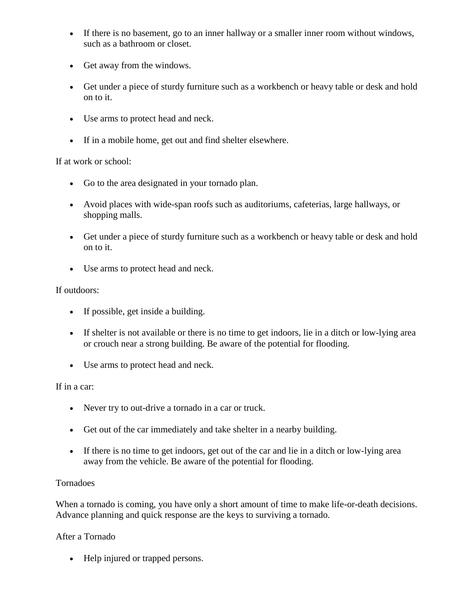- If there is no basement, go to an inner hallway or a smaller inner room without windows, such as a bathroom or closet.
- Get away from the windows.
- Get under a piece of sturdy furniture such as a workbench or heavy table or desk and hold on to it.
- Use arms to protect head and neck.
- If in a mobile home, get out and find shelter elsewhere.

If at work or school:

- Go to the area designated in your tornado plan.
- Avoid places with wide-span roofs such as auditoriums, cafeterias, large hallways, or shopping malls.
- Get under a piece of sturdy furniture such as a workbench or heavy table or desk and hold on to it.
- Use arms to protect head and neck.

If outdoors:

- If possible, get inside a building.
- If shelter is not available or there is no time to get indoors, lie in a ditch or low-lying area or crouch near a strong building. Be aware of the potential for flooding.
- Use arms to protect head and neck.

#### If in a car:

- Never try to out-drive a tornado in a car or truck.
- Get out of the car immediately and take shelter in a nearby building.
- If there is no time to get indoors, get out of the car and lie in a ditch or low-lying area away from the vehicle. Be aware of the potential for flooding.

#### Tornadoes

When a tornado is coming, you have only a short amount of time to make life-or-death decisions. Advance planning and quick response are the keys to surviving a tornado.

# After a Tornado

• Help injured or trapped persons.